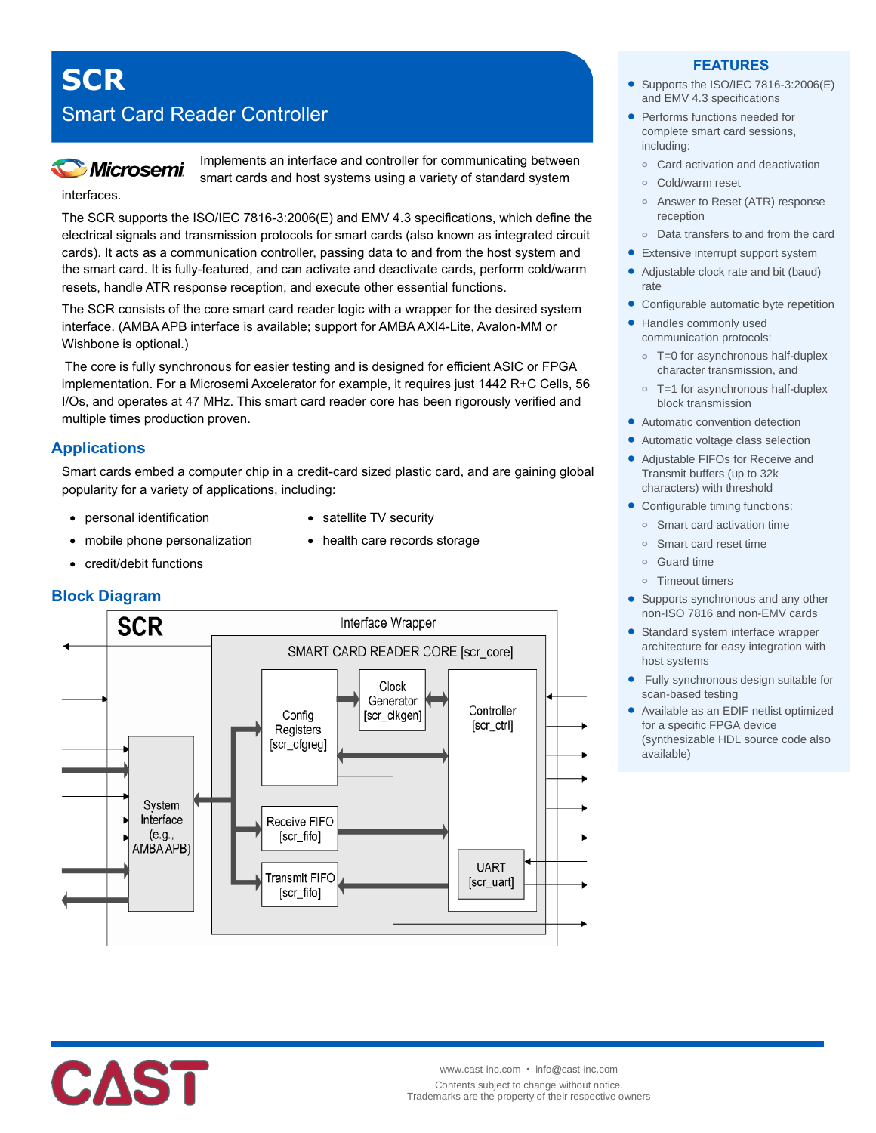# **SCR**

interfaces.

## Smart Card Reader Controller



Implements an interface and controller for communicating between smart cards and host systems using a variety of standard system

The SCR supports the ISO/IEC 7816-3:2006(E) and EMV 4.3 specifications, which define the electrical signals and transmission protocols for smart cards (also known as integrated circuit cards). It acts as a communication controller, passing data to and from the host system and the smart card. It is fully-featured, and can activate and deactivate cards, perform cold/warm resets, handle ATR response reception, and execute other essential functions.

The SCR consists of the core smart card reader logic with a wrapper for the desired system interface. (AMBA APB interface is available; support for AMBA AXI4-Lite, Avalon-MM or Wishbone is optional.)

The core is fully synchronous for easier testing and is designed for efficient ASIC or FPGA implementation. For a Microsemi Axcelerator for example, it requires just 1442 R+C Cells, 56 I/Os, and operates at 47 MHz. This smart card reader core has been rigorously verified and multiple times production proven.

## **Applications**

Smart cards embed a computer chip in a credit-card sized plastic card, and are gaining global popularity for a variety of applications, including:

- personal identification
- satellite TV security

• health care records storage

- mobile phone personalization
- credit/debit functions



#### **FEATURES**

- Supports the ISO/IEC 7816-3:2006(E) and EMV 4.3 specifications
- Performs functions needed for complete smart card sessions, including:
	- **o** Card activation and deactivation
	- **o** Cold/warm reset
	- **o** Answer to Reset (ATR) response reception
- **o** Data transfers to and from the card
- **•** Extensive interrupt support system
- Adjustable clock rate and bit (baud) rate
- Configurable automatic byte repetition
- Handles commonly used communication protocols:
	- **o** T=0 for asynchronous half-duplex character transmission, and
	- **o** T=1 for asynchronous half-duplex block transmission
- Automatic convention detection
- Automatic voltage class selection
- Adjustable FIFOs for Receive and Transmit buffers (up to 32k characters) with threshold
- Configurable timing functions:
	- **o** Smart card activation time
	- **o** Smart card reset time
	- **o** Guard time
	- **o** Timeout timers
- Supports synchronous and any other non-ISO 7816 and non-EMV cards
- Standard system interface wrapper architecture for easy integration with host systems
- Fully synchronous design suitable for scan-based testing
- Available as an EDIF netlist optimized for a specific FPGA device (synthesizable HDL source code also available)